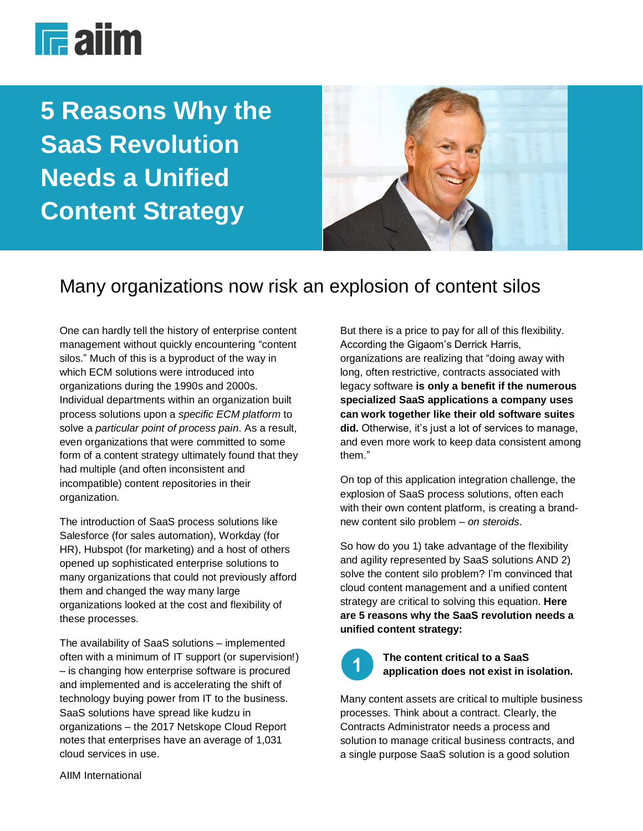

**5 Reasons Why the SaaS Revolution Needs a Unified Content Strategy**



# Many organizations now risk an explosion of content silos

One can hardly tell the history of enterprise content management without quickly encountering "content silos." Much of this is a byproduct of the way in which ECM solutions were introduced into organizations during the 1990s and 2000s. Individual departments within an organization built process solutions upon a *specific ECM platform* to solve a *particular point of process pain*. As a result, even organizations that were committed to some form of a content strategy ultimately found that they had multiple (and often inconsistent and incompatible) content repositories in their organization.

The introduction of SaaS process solutions like Salesforce (for sales automation), Workday (for HR), Hubspot (for marketing) and a host of others opened up sophisticated enterprise solutions to many organizations that could not previously afford them and changed the way many large organizations looked at the cost and flexibility of these processes.

The availability of SaaS solutions – implemented often with a minimum of IT support (or supervision!) – is changing how enterprise software is procured and implemented and is accelerating the shift of technology buying power from IT to the business. SaaS solutions have spread like kudzu in organizations – the 2017 Netskope Cloud Report notes that enterprises have an average of 1,031 cloud services in use.

But there is a price to pay for all of this flexibility. According the Gigaom's Derrick Harris, organizations are realizing that "doing away with long, often restrictive, contracts associated with legacy software **is only a benefit if the numerous specialized SaaS applications a company uses can work together like their old software suites did.** Otherwise, it's just a lot of services to manage, and even more work to keep data consistent among them."

On top of this application integration challenge, the explosion of SaaS process solutions, often each with their own content platform, is creating a brandnew content silo problem – *on steroids*.

So how do you 1) take advantage of the flexibility and agility represented by SaaS solutions AND 2) solve the content silo problem? I'm convinced that cloud content management and a unified content strategy are critical to solving this equation. **Here are 5 reasons why the SaaS revolution needs a unified content strategy:**



### **The content critical to a SaaS application does not exist in isolation.**

Many content assets are critical to multiple business processes. Think about a contract. Clearly, the Contracts Administrator needs a process and solution to manage critical business contracts, and a single purpose SaaS solution is a good solution

AIIM International